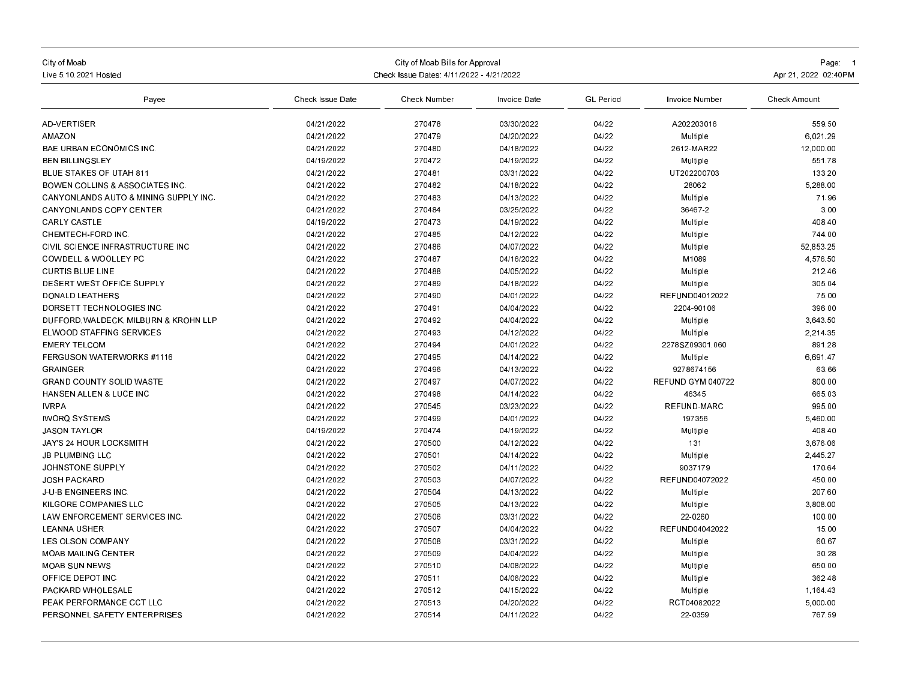| City of Moab<br>Live 5 10 2021 Hosted<br>Payee   | Check Issue Dates: 4/11/2022 - 4/21/2022 | Page: 1<br>Apr 21, 2022 02:40PM |                          |                  |                     |                      |
|--------------------------------------------------|------------------------------------------|---------------------------------|--------------------------|------------------|---------------------|----------------------|
|                                                  | Check Issue Date                         | Check Number                    | Invoice Date             | <b>GL</b> Period | Invoice Number      | <b>Check Amount</b>  |
| AD-VERTISER                                      | 04/21/2022                               | 270478                          | 03/30/2022               | 04/22            | A202203016          | 559.50               |
| <b>AMAZON</b>                                    | 04/21/2022                               | 270479                          | 04/20/2022               | 04/22            | Multiple            | 6,021.29             |
| <b>BAE URBAN ECONOMICS INC.</b>                  | 04/21/2022                               | 270480                          | 04/18/2022               | 04/22            | 2612-MAR22          | 12.000.00            |
| <b>BEN BILLINGSLEY</b>                           | 04/19/2022                               | 270472                          | 04/19/2022               | 04/22            | Multiple            | 551.78               |
| BLUE STAKES OF UTAH 811                          | 04/21/2022                               | 270481                          | 03/31/2022               | 04/22            | UT202200703         | 133.20               |
| <b>BOWEN COLLINS &amp; ASSOCIATES INC.</b>       | 04/21/2022                               | 270482                          | 04/18/2022               | 04/22            | 28062               | 5,288.00             |
| <b>CANYONLANDS AUTO &amp; MINING SUPPLY INC.</b> | 04/21/2022                               | 270483                          | 04/13/2022               | 04/22            | <b>Multiple</b>     | 71.96                |
| <b>CANYONLANDS COPY CENTER</b>                   | 04/21/2022                               | 270484                          | 03/25/2022               | 04/22            | 36467-2             | 3.00                 |
| <b>CARLY CASTLE</b>                              | 04/19/2022                               | 270473                          | 04/19/2022               | 04/22            | Multiple            | 408.40               |
| CHEMTECH-FORD INC.                               | 04/21/2022                               | 270485                          | 04/12/2022               | 04/22            | Multiple            | 744.00               |
| CIVIL SCIENCE INFRASTRUCTURE INC                 | 04/21/2022                               | 270486                          | 04/07/2022               | 04/22            | Multiple            | 52.853.25            |
| COWDELL & WOOLLEY PC                             | 04/21/2022                               | 270487                          | 04/16/2022               | 04/22            | M1089               | 4,576.50             |
| <b>CURTIS BLUE LINE</b>                          | 04/21/2022                               | 270488                          | 04/05/2022               | 04/22            | Multiple            | 212.46               |
| DESERT WEST OFFICE SUPPLY                        | 04/21/2022                               | 270489                          | 04/18/2022               | 04/22            | Multiple            | 305.04               |
| <b>DONALD LEATHERS</b>                           | 04/21/2022                               | 270490                          | 04/01/2022               | 04/22            | REFUND04012022      | 75.00                |
| DORSETT TECHNOLOGIES INC.                        | 04/21/2022                               | 270491                          | 04/04/2022               | 04/22            | 2204-90106          | 396.00               |
| DUFFORD WALDECK, MILBURN & KROHN LLP             | 04/21/2022                               | 270492                          | 04/04/2022               | 04/22            | Multiple            | 3,643.50             |
| ELWOOD STAFFING SERVICES                         | 04/21/2022                               | 270493                          | 04/12/2022               | 04/22            | Multiple            | 2.214.35             |
| <b>EMERY TELCOM</b>                              | 04/21/2022                               | 270494                          | 04/01/2022               | 04/22            | 2278SZ09301.060     | 891.28               |
| FERGUSON WATERWORKS #1116                        | 04/21/2022                               | 270495                          | 04/14/2022               | 04/22            | Multiple            | 6.691.47             |
| <b>GRAINGER</b>                                  | 04/21/2022                               | 270496                          | 04/13/2022               | 04/22            | 9278674156          | 63.66                |
| <b>GRAND COUNTY SOLID WASTE</b>                  | 04/21/2022                               | 270497                          | 04/07/2022               | 04/22            | REFUND GYM 040722   | 800.00               |
| HANSEN ALLEN & LUCE INC                          | 04/21/2022                               | 270498                          | 04/14/2022               | 04/22            | 46345               | 665.03               |
| <b>IVRPA</b>                                     | 04/21/2022                               | 270545                          | 03/23/2022               | 04/22            | REFUND-MARC         | 995.00               |
| <b>IWORQ SYSTEMS</b>                             | 04/21/2022                               | 270499                          | 04/01/2022               | 04/22            | 197356              | 5,460.00             |
| <b>JASON TAYLOR</b>                              | 04/19/2022                               | 270474                          | 04/19/2022               | 04/22            | Multiple            | 408.40               |
|                                                  |                                          |                                 |                          |                  |                     |                      |
| <b>JAY'S 24 HOUR LOCKSMITH</b>                   | 04/21/2022<br>04/21/2022                 | 270500<br>270501                | 04/12/2022               | 04/22<br>04/22   | 131                 | 3,676.06<br>2.445.27 |
| <b>JB PLUMBING LLC</b>                           | 04/21/2022                               | 270502                          | 04/14/2022<br>04/11/2022 | 04/22            | Multiple<br>9037179 | 170.64               |
| JOHNSTONE SUPPLY                                 | 04/21/2022                               | 270503                          | 04/07/2022               | 04/22            | REFUND04072022      | 450.00               |
| <b>JOSH PACKARD</b>                              | 04/21/2022                               | 270504                          | 04/13/2022               |                  |                     | 207.60               |
| <b>J-U-B ENGINEERS INC</b>                       |                                          |                                 |                          | 04/22            | Multiple            |                      |
| KILGORE COMPANIES LLC                            | 04/21/2022                               | 270505                          | 04/13/2022               | 04/22            | Multiple            | 3,808.00             |
| LAW ENFORCEMENT SERVICES INC                     | 04/21/2022                               | 270506                          | 03/31/2022               | 04/22            | 22-0260             | 100.00               |
| <b>LEANNA USHER</b>                              | 04/21/2022                               | 270507                          | 04/04/2022               | 04/22            | REFUND04042022      | 15.00                |
| <b>LES OLSON COMPANY</b>                         | 04/21/2022                               | 270508                          | 03/31/2022               | 04/22            | Multiple            | 60.67                |
| <b>MOAB MAILING CENTER</b>                       | 04/21/2022                               | 270509                          | 04/04/2022               | 04/22            | Multiple            | 30.28                |
| <b>MOAB SUN NEWS</b>                             | 04/21/2022                               | 270510                          | 04/08/2022               | 04/22            | Multiple            | 650.00               |
| OFFICE DEPOT INC.                                | 04/21/2022                               | 270511                          | 04/06/2022               | 04/22            | Multiple            | 362.48               |
| PACKARD WHOLESALE                                | 04/21/2022                               | 270512                          | 04/15/2022               | 04/22            | Multiple            | 1,164.43             |
| <b>PEAK PERFORMANCE CCT LLC</b>                  | 04/21/2022                               | 270513                          | 04/20/2022               | 04/22            | RCT04082022         | 5,000.00             |
| PERSONNEL SAFETY ENTERPRISES                     | 04/21/2022                               | 270514                          | 04/11/2022               | 04/22            | 22-0359             | 767.59               |